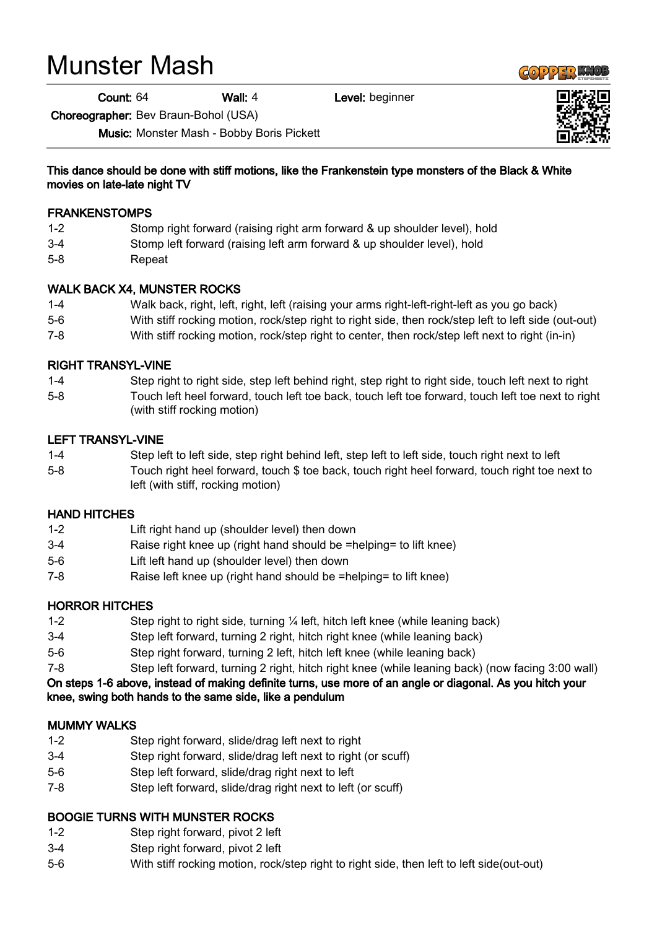# Munster Mash

Count: 64 Wall: 4 Level: beginner

Choreographer: Bev Braun-Bohol (USA)

Music: Monster Mash - Bobby Boris Pickett



#### This dance should be done with stiff motions, like the Frankenstein type monsters of the Black & White movies on late-late night TV

#### FRANKENSTOMPS

- 1-2 Stomp right forward (raising right arm forward & up shoulder level), hold
- 3-4 Stomp left forward (raising left arm forward & up shoulder level), hold
- 5-8 Repeat

### WALK BACK X4, MUNSTER ROCKS

- 1-4 Walk back, right, left, right, left (raising your arms right-left-right-left as you go back)
- 5-6 With stiff rocking motion, rock/step right to right side, then rock/step left to left side (out-out)
- 7-8 With stiff rocking motion, rock/step right to center, then rock/step left next to right (in-in)

### RIGHT TRANSYL-VINE

1-4 Step right to right side, step left behind right, step right to right side, touch left next to right 5-8 Touch left heel forward, touch left toe back, touch left toe forward, touch left toe next to right (with stiff rocking motion)

### LEFT TRANSYL-VINE

- 1-4 Step left to left side, step right behind left, step left to left side, touch right next to left
- 5-8 Touch right heel forward, touch \$ toe back, touch right heel forward, touch right toe next to left (with stiff, rocking motion)

#### HAND HITCHES

- 1-2 Lift right hand up (shoulder level) then down
- 3-4 Raise right knee up (right hand should be =helping= to lift knee)
- 5-6 Lift left hand up (shoulder level) then down
- 7-8 Raise left knee up (right hand should be =helping= to lift knee)

# HORROR HITCHES

- 1-2 Step right to right side, turning  $\frac{1}{4}$  left, hitch left knee (while leaning back)
- 3-4 Step left forward, turning 2 right, hitch right knee (while leaning back)
- 5-6 Step right forward, turning 2 left, hitch left knee (while leaning back)
- 7-8 Step left forward, turning 2 right, hitch right knee (while leaning back) (now facing 3:00 wall)

On steps 1-6 above, instead of making definite turns, use more of an angle or diagonal. As you hitch your knee, swing both hands to the same side, like a pendulum

#### MUMMY WALKS

- 1-2 Step right forward, slide/drag left next to right
- 3-4 Step right forward, slide/drag left next to right (or scuff)
- 5-6 Step left forward, slide/drag right next to left
- 7-8 Step left forward, slide/drag right next to left (or scuff)

# BOOGIE TURNS WITH MUNSTER ROCKS

- 1-2 Step right forward, pivot 2 left
- 3-4 Step right forward, pivot 2 left
- 5-6 With stiff rocking motion, rock/step right to right side, then left to left side(out-out)